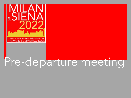

# Pre-departure meeting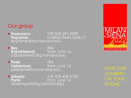#### Our group

■ **Francesco** +39 345 591 3290 **Erspamer** In Milan from June 17 erspamer@fas.harvard.edu

¡ **Bes** TBA **Bajraktarevic** from June 16 bajraktarevic@g.harvard.edu

¡ **Peter** TBA **Lieberman** from June 16 plieberm@fas.harvard.edu

■ **Alberto**  $+39\,353\,432\,4130$ <br>**Parisi** from June 16 from June 16 albertoparisi@g.harvard.edu



SAVE OUR NUMBERS ON YOUR PHONE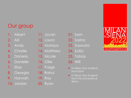# Our group

- 1. Albert
- 2. Alli
- 3. Andy
- 4. Charlie
- 5. Daniela
- 6. Danielle
- 7. Elias
- 8. Georgia
- 9. Hannah
- 10. Jordan
- 11. Jovan
- 12. Laura
- 13. Mataya
- 14. Matthew
- 15. Nicole
- 16. Ollie
- 17. Paige
- 18. Rahul
- 19. Ray
- 20. Ryan
- 21. Sam
- 22. Sasha
- 23. Saswato
- 24. Sofia
- 25. Tobias
- 26. Will
- In Milan: five students from IULM
- **In Siena: five students** from the Università di Siena

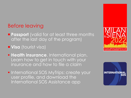- **Passport** (valid for at least three months after the last day of the program)
- **Uisa** (tourist visa)
- **Example 2 Health insurance.** International plan. Learn how to get in touch with your insurance and how to file a claim
- **International SOS MyTrips: create your** user profile, and download the International SOS Assistance app



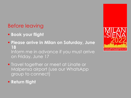- § **Book your flight**
- § **Please arrive in Milan on Saturday, June 18** Inform me in advance if you must arrive on Friday, June 17
- **Travel together or meet at Linate or** Malpensa airport (use our WhatsApp group to connect)
- § **Return flight**

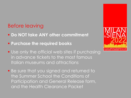- § **Do NOT take ANY other commitment**
- § **Purchase the required books**
- Use only the official web sites if purchasing in advance tickets to the most famous Italian museums and attractions
- Be sure that you signed and returned to the Summer School the Conditions of Participation and General Release form, and the Health Clearance Packet

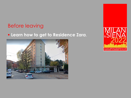#### § **Learn how to get to Residence Zara**.



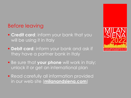- **Example 2 Credit card:** inform your bank that you will be using it in Italy
- **Debit card:** inform your bank and ask if they have a partner bank in Italy
- **Be sure that your phone** will work in Italy; unlock it or get an international plan
- Read carefully all information provided in our web site (**milanandsiena.com**)

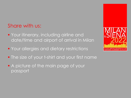#### Share with us:

- **Your itinerary, including airline and** date/time and airport of arrival in Milan
- **Your allergies and dietary restrictions**
- **The size of your t-shirt and your first name**
- A picture of the main page of your passport

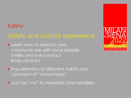# Safety and cultural experience

- **Learn how to interact and** communicate with local people. Smiles and eye contact Body contact
- **Pay attention to different habits and** concepts of "correctness"
- **Just say "no" to molesters and swindlers**

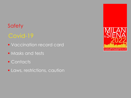# Covid-19

- **Vaccination record card**
- Masks and tests
- Contacts
- **· Laws, restrictions, caution**

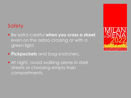- § Be extra careful **when you cross a street**, even on the zebra crossing or with a green light.
- **Pickpockets** and bag-snatchers.
- **At night, avoid walking alone in dark** streets or choosing empty train compartments.

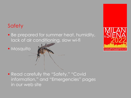■ Be prepared for summer heat, humidity, lack of air conditioning, slow wi-fi

■ Mosquito

■ Read carefully the "Safety," "Covid information," and "Emergencies" pages in our web site

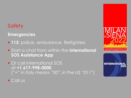**Emergencies**

- **113**: police, ambulance, firefighters
- § Start a chat from within the **International SOS Assistance App**
- § Or call International SOS at **+1 617-998-0000** ("+" in Italy means "00"; in the US "011")





■ Call us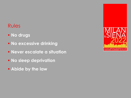- § **No drugs**
- § **No excessive drinking**
- § **Never escalate a situation**
- § **No sleep deprivation**
- § **Abide by the law**

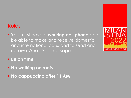- § You must have a **working cell phone** and be able to make and receive domestic and international calls, and to send and receive WhatsApp messages
- § **Be on time**
- § **No walking on roofs**
- § **No cappuccino after 11 AM**

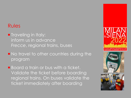- **Traveling in Italy:** inform us in advance *Frecce*, regional trains, buses
- **No travel to other countries during the** program

**• Board a train or bus with a ticket.** Validate the ticket before boarding regional trains. On buses validate the ticket immediately after boarding

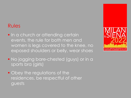- **In a church or attending certain** events, the rule for both men and women is legs covered to the knee, no exposed shoulders or belly, wear shoes
- No jogging bare-chested (guys) or in a sports bra (girls)
- **Obey the regulations of the** residences, be respectful of other guests

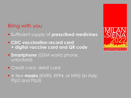# Bring with you

- § Sufficient supply of **prescribed medicines**
- § **CDC vaccination record card + digital vaccine card and QR code**
- **E** Smartphone (GSM world phone, unlocked)
- § Credit card, debit card
- A few masks (KN95, KF94, or N95) (in Italy, Ffp2 and Ffp3)

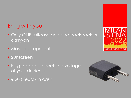# Bring with you

- **Only ONE suitcase and one backpack or** carry-on
- **Mosquito repellent**
- Sunscreen
- **Plug adapter (check the voltage)** of your devices)
- **€** 200 (euro) in cash



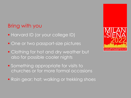# Bring with you

- **Harvard ID (or your college ID)**
- One or two passport-size pictures
- Clothing for hot and dry weather but also for possible cooler nights
- Something appropriate for visits to churches or for more formal occasions
- Rain gear; hat; walking or trekking shoes

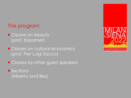- **E** Course on beauty (prof. Erspamer)
- **E** Classes on cultural economics (prof. Pier Luigi Sacco)
- **Example 2 Classes by other guest speakers**
- Sections (Alberto and Bes)

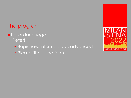#### **Intratana language** (Peter)

- Beginners, intermediate, advanced
- Please fill out the form

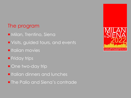- **Milan, Trentino, Siena**
- **Visits, guided tours, and events**
- $\blacksquare$  Italian movies
- **Friday trips**
- One two-day trip
- $\blacksquare$  Italian dinners and lunches
- **The Palio and Siena's contrade**

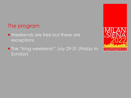- **Weekends are free but there are** exceptions
- **The "long weekend:" July 29-31 (Friday to** Sunday)

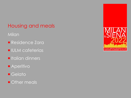# Housing and meals

#### Milan

- **Residence Zara**
- **<u>■ IULM cafeterias</u>**
- **Italian dinners**
- **E** Aperitivo
- ¡ Gelato
- **Other meals**

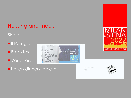#### Housing and meals

**Interfall dinners, gelato** 

#### Siena

**II** Refugio

**E** Breakfast

**U** Vouchers







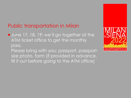# Public transportation in Milan

- **June 17, 18, 19: we'll go together at the** ATM ticket office to get the monthly pass.
	- Please bring with you: passport, passportsize photo, form (if provided in advance, fill it out before going to the ATM office)

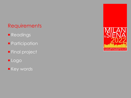# **Requirements**

- **Readings**
- **Participation**
- **Final project**
- ¡ Logo
- **E** Key words

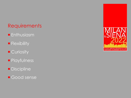# **Requirements**

- **Enthusiasm**
- **Flexibility**
- Curiosity
- **Playfulness**
- **Discipline**
- **Good sense**

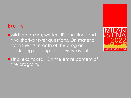#### **Exams**

■ Midterm exam; written. ID questions and two short-answer questions. On material from the first month of the program (including readings, trips, visits, events)



**Final exam; oral. On the entire content of** the program.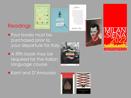# Readings



- **Four books must be** purchased prior to your departure for Italy
- **A** fifth book may be required for the Italian language course



**E** Kant and D'Annunzio





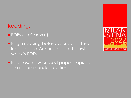#### Readings

- **PDFs (on Canvas)**
- **E** Begin reading before your departure—at least Kant, d'Annunzio, and the first week's PDFs
- **Purchase new or used paper copies of** the recommended editions

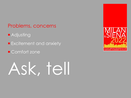#### Problems, concerns

- **Adjusting**
- **Excitement and anxiety**
- Comfort zone

# Ask, tell